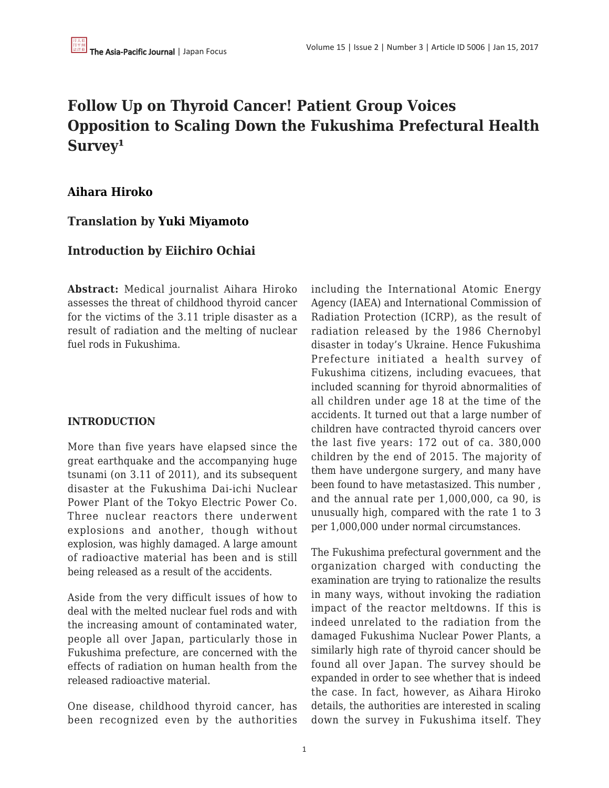# **Follow Up on Thyroid Cancer! Patient Group Voices Opposition to Scaling Down the Fukushima Prefectural Health** Survey<sup>1</sup>

# **[Aihara Hiroko](https://apjjf.org/authors/view/14679)**

# **Translation by [Yuki Miyamoto](https://apjjf.org/authors/view/14680)**

# **Introduction by Eiichiro Ochiai**

**Abstract:** Medical journalist Aihara Hiroko assesses the threat of childhood thyroid cancer for the victims of the 3.11 triple disaster as a result of radiation and the melting of nuclear fuel rods in Fukushima.

## **INTRODUCTION**

More than five years have elapsed since the great earthquake and the accompanying huge tsunami (on 3.11 of 2011), and its subsequent disaster at the Fukushima Dai-ichi Nuclear Power Plant of the Tokyo Electric Power Co. Three nuclear reactors there underwent explosions and another, though without explosion, was highly damaged. A large amount of radioactive material has been and is still being released as a result of the accidents.

Aside from the very difficult issues of how to deal with the melted nuclear fuel rods and with the increasing amount of contaminated water, people all over Japan, particularly those in Fukushima prefecture, are concerned with the effects of radiation on human health from the released radioactive material.

One disease, childhood thyroid cancer, has been recognized even by the authorities including the International Atomic Energy Agency (IAEA) and International Commission of Radiation Protection (ICRP), as the result of radiation released by the 1986 Chernobyl disaster in today's Ukraine. Hence Fukushima Prefecture initiated a health survey of Fukushima citizens, including evacuees, that included scanning for thyroid abnormalities of all children under age 18 at the time of the accidents. It turned out that a large number of children have contracted thyroid cancers over the last five years: 172 out of ca. 380,000 children by the end of 2015. The majority of them have undergone surgery, and many have been found to have metastasized. This number , and the annual rate per 1,000,000, ca 90, is unusually high, compared with the rate 1 to 3 per 1,000,000 under normal circumstances.

The Fukushima prefectural government and the organization charged with conducting the examination are trying to rationalize the results in many ways, without invoking the radiation impact of the reactor meltdowns. If this is indeed unrelated to the radiation from the damaged Fukushima Nuclear Power Plants, a similarly high rate of thyroid cancer should be found all over Japan. The survey should be expanded in order to see whether that is indeed the case. In fact, however, as Aihara Hiroko details, the authorities are interested in scaling down the survey in Fukushima itself. They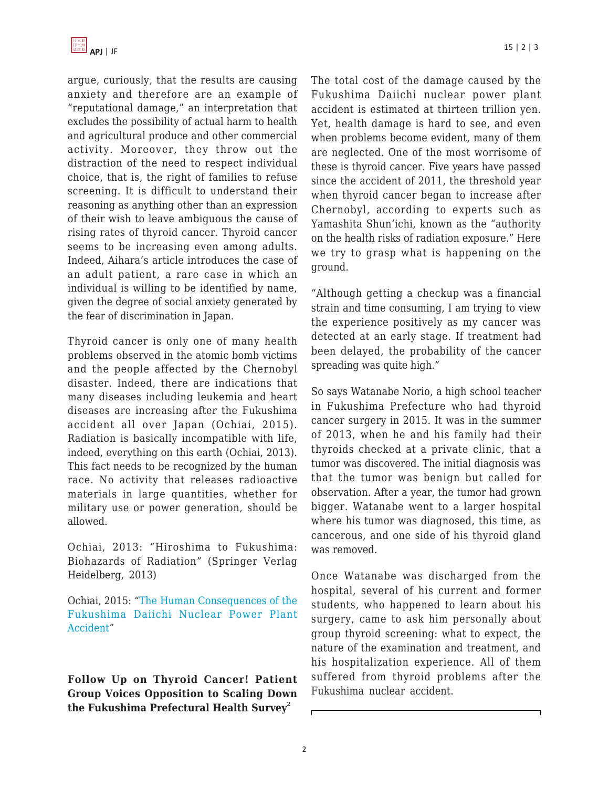

argue, curiously, that the results are causing anxiety and therefore are an example of "reputational damage," an interpretation that excludes the possibility of actual harm to health and agricultural produce and other commercial activity. Moreover, they throw out the distraction of the need to respect individual choice, that is, the right of families to refuse screening. It is difficult to understand their reasoning as anything other than an expression of their wish to leave ambiguous the cause of rising rates of thyroid cancer. Thyroid cancer seems to be increasing even among adults. Indeed, Aihara's article introduces the case of an adult patient, a rare case in which an individual is willing to be identified by name, given the degree of social anxiety generated by the fear of discrimination in Japan.

Thyroid cancer is only one of many health problems observed in the atomic bomb victims and the people affected by the Chernobyl disaster. Indeed, there are indications that many diseases including leukemia and heart diseases are increasing after the Fukushima accident all over Japan (Ochiai, 2015). Radiation is basically incompatible with life, indeed, everything on this earth (Ochiai, 2013). This fact needs to be recognized by the human race. No activity that releases radioactive materials in large quantities, whether for military use or power generation, should be allowed.

Ochiai, 2013: "Hiroshima to Fukushima: Biohazards of Radiation" (Springer Verlag Heidelberg, 2013)

Ochiai, 2015: ["The Human Consequences of the](https://apjjf.org/-Eiichiro-Ochiai/4382) [Fukushima Daiichi Nuclear Power Plant](https://apjjf.org/-Eiichiro-Ochiai/4382) [Accident"](https://apjjf.org/-Eiichiro-Ochiai/4382)

**Follow Up on Thyroid Cancer! Patient Group Voices Opposition to Scaling Down the Fukushima Prefectural Health Survey<sup>2</sup>**

The total cost of the damage caused by the Fukushima Daiichi nuclear power plant accident is estimated at thirteen trillion yen. Yet, health damage is hard to see, and even when problems become evident, many of them are neglected. One of the most worrisome of these is thyroid cancer. Five years have passed since the accident of 2011, the threshold year when thyroid cancer began to increase after Chernobyl, according to experts such as Yamashita Shun'ichi, known as the "authority on the health risks of radiation exposure." Here we try to grasp what is happening on the ground.

"Although getting a checkup was a financial strain and time consuming, I am trying to view the experience positively as my cancer was detected at an early stage. If treatment had been delayed, the probability of the cancer spreading was quite high."

So says Watanabe Norio, a high school teacher in Fukushima Prefecture who had thyroid cancer surgery in 2015. It was in the summer of 2013, when he and his family had their thyroids checked at a private clinic, that a tumor was discovered. The initial diagnosis was that the tumor was benign but called for observation. After a year, the tumor had grown bigger. Watanabe went to a larger hospital where his tumor was diagnosed, this time, as cancerous, and one side of his thyroid gland was removed.

Once Watanabe was discharged from the hospital, several of his current and former students, who happened to learn about his surgery, came to ask him personally about group thyroid screening: what to expect, the nature of the examination and treatment, and his hospitalization experience. All of them suffered from thyroid problems after the Fukushima nuclear accident.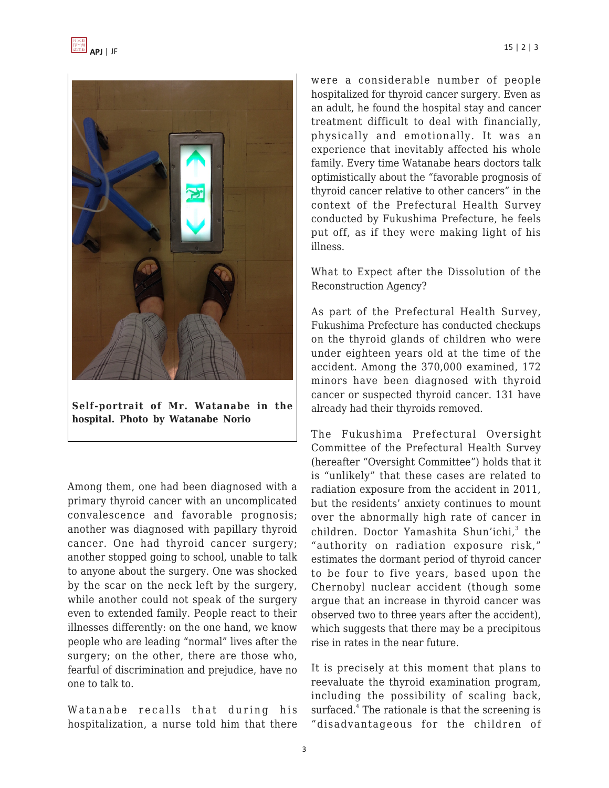



**Self-portrait of Mr. Watanabe in the hospital. Photo by Watanabe Norio**

Among them, one had been diagnosed with a primary thyroid cancer with an uncomplicated convalescence and favorable prognosis; another was diagnosed with papillary thyroid cancer. One had thyroid cancer surgery; another stopped going to school, unable to talk to anyone about the surgery. One was shocked by the scar on the neck left by the surgery, while another could not speak of the surgery even to extended family. People react to their illnesses differently: on the one hand, we know people who are leading "normal" lives after the surgery; on the other, there are those who, fearful of discrimination and prejudice, have no one to talk to.

Watanabe recalls that during his hospitalization, a nurse told him that there were a considerable number of people hospitalized for thyroid cancer surgery. Even as an adult, he found the hospital stay and cancer treatment difficult to deal with financially, physically and emotionally. It was an experience that inevitably affected his whole family. Every time Watanabe hears doctors talk optimistically about the "favorable prognosis of thyroid cancer relative to other cancers" in the context of the Prefectural Health Survey conducted by Fukushima Prefecture, he feels put off, as if they were making light of his illness.

What to Expect after the Dissolution of the Reconstruction Agency?

As part of the Prefectural Health Survey, Fukushima Prefecture has conducted checkups on the thyroid glands of children who were under eighteen years old at the time of the accident. Among the 370,000 examined, 172 minors have been diagnosed with thyroid cancer or suspected thyroid cancer. 131 have already had their thyroids removed.

The Fukushima Prefectural Oversight Committee of the Prefectural Health Survey (hereafter "Oversight Committee") holds that it is "unlikely" that these cases are related to radiation exposure from the accident in 2011, but the residents' anxiety continues to mount over the abnormally high rate of cancer in children. Doctor Yamashita Shun'ichi,<sup>3</sup> the "authority on radiation exposure risk," estimates the dormant period of thyroid cancer to be four to five years, based upon the Chernobyl nuclear accident (though some argue that an increase in thyroid cancer was observed two to three years after the accident), which suggests that there may be a precipitous rise in rates in the near future.

It is precisely at this moment that plans to reevaluate the thyroid examination program, including the possibility of scaling back, surfaced.<sup>4</sup> The rationale is that the screening is "disadvantageous for the children of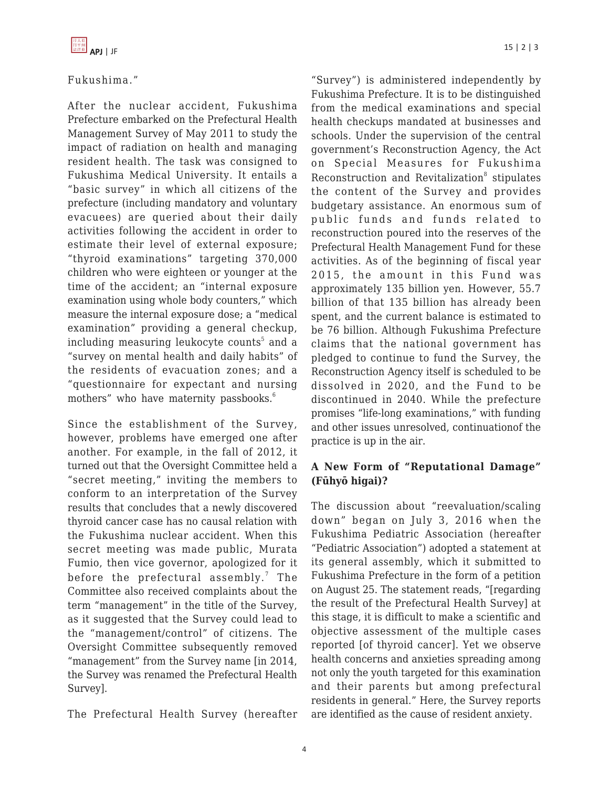# Fukushima."

After the nuclear accident, Fukushima Prefecture embarked on the Prefectural Health Management Survey of May 2011 to study the impact of radiation on health and managing resident health. The task was consigned to Fukushima Medical University. It entails a "basic survey" in which all citizens of the prefecture (including mandatory and voluntary evacuees) are queried about their daily activities following the accident in order to estimate their level of external exposure; "thyroid examinations" targeting 370,000 children who were eighteen or younger at the time of the accident; an "internal exposure examination using whole body counters," which measure the internal exposure dose; a "medical examination" providing a general checkup, including measuring leukocyte counts $^5$  and a "survey on mental health and daily habits" of the residents of evacuation zones; and a "questionnaire for expectant and nursing mothers" who have maternity passbooks.<sup>6</sup>

Since the establishment of the Survey, however, problems have emerged one after another. For example, in the fall of 2012, it turned out that the Oversight Committee held a "secret meeting," inviting the members to conform to an interpretation of the Survey results that concludes that a newly discovered thyroid cancer case has no causal relation with the Fukushima nuclear accident. When this secret meeting was made public, Murata Fumio, then vice governor, apologized for it before the prefectural assembly. $^7$  The Committee also received complaints about the term "management" in the title of the Survey, as it suggested that the Survey could lead to the "management/control" of citizens. The Oversight Committee subsequently removed "management" from the Survey name [in 2014, the Survey was renamed the Prefectural Health Survey].

The Prefectural Health Survey (hereafter

"Survey") is administered independently by Fukushima Prefecture. It is to be distinguished from the medical examinations and special health checkups mandated at businesses and schools. Under the supervision of the central government's Reconstruction Agency, the Act on Special Measures for Fukushima Reconstruction and Revitalization<sup>8</sup> stipulates the content of the Survey and provides budgetary assistance. An enormous sum of public funds and funds related to reconstruction poured into the reserves of the Prefectural Health Management Fund for these activities. As of the beginning of fiscal year 2015, the amount in this Fund was approximately 135 billion yen. However, 55.7 billion of that 135 billion has already been spent, and the current balance is estimated to be 76 billion. Although Fukushima Prefecture claims that the national government has pledged to continue to fund the Survey, the Reconstruction Agency itself is scheduled to be dissolved in 2020, and the Fund to be discontinued in 2040. While the prefecture promises "life-long examinations," with funding and other issues unresolved, continuationof the practice is up in the air.

# **A New Form of "Reputational Damage" (Fūhyō higai)?**

The discussion about "reevaluation/scaling down" began on July 3, 2016 when the Fukushima Pediatric Association (hereafter "Pediatric Association") adopted a statement at its general assembly, which it submitted to Fukushima Prefecture in the form of a petition on August 25. The statement reads, "[regarding the result of the Prefectural Health Survey] at this stage, it is difficult to make a scientific and objective assessment of the multiple cases reported [of thyroid cancer]. Yet we observe health concerns and anxieties spreading among not only the youth targeted for this examination and their parents but among prefectural residents in general." Here, the Survey reports are identified as the cause of resident anxiety.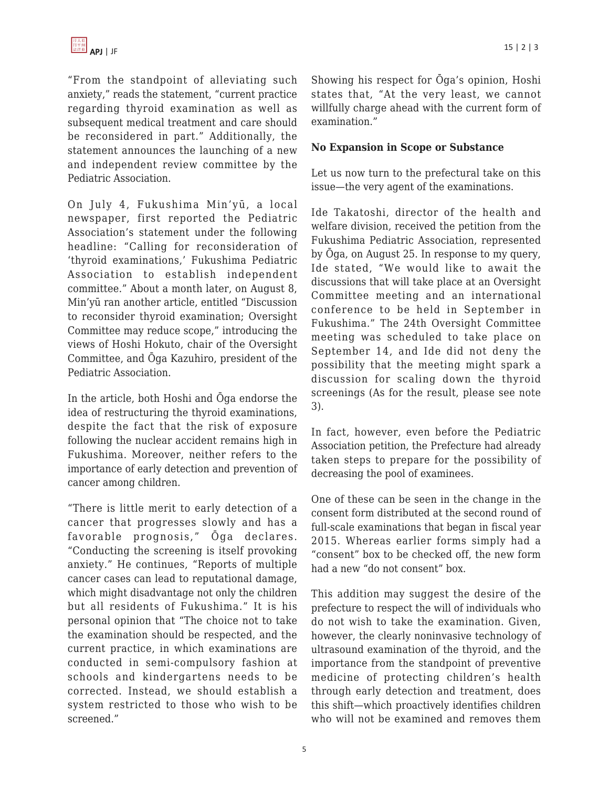"From the standpoint of alleviating such anxiety," reads the statement, "current practice regarding thyroid examination as well as subsequent medical treatment and care should be reconsidered in part." Additionally, the statement announces the launching of a new and independent review committee by the Pediatric Association.

On July 4, Fukushima Min'yū, a local newspaper, first reported the Pediatric Association's statement under the following headline: "Calling for reconsideration of 'thyroid examinations,' Fukushima Pediatric Association to establish independent committee." About a month later, on August 8, Min'yū ran another article, entitled "Discussion to reconsider thyroid examination; Oversight Committee may reduce scope," introducing the views of Hoshi Hokuto, chair of the Oversight Committee, and Ōga Kazuhiro, president of the Pediatric Association.

In the article, both Hoshi and Ōga endorse the idea of restructuring the thyroid examinations, despite the fact that the risk of exposure following the nuclear accident remains high in Fukushima. Moreover, neither refers to the importance of early detection and prevention of cancer among children.

"There is little merit to early detection of a cancer that progresses slowly and has a favorable prognosis," Ōga declares. "Conducting the screening is itself provoking anxiety." He continues, "Reports of multiple cancer cases can lead to reputational damage, which might disadvantage not only the children but all residents of Fukushima." It is his personal opinion that "The choice not to take the examination should be respected, and the current practice, in which examinations are conducted in semi-compulsory fashion at schools and kindergartens needs to be corrected. Instead, we should establish a system restricted to those who wish to be screened."

Showing his respect for Ōga's opinion, Hoshi states that, "At the very least, we cannot willfully charge ahead with the current form of examination."

### **No Expansion in Scope or Substance**

Let us now turn to the prefectural take on this issue—the very agent of the examinations.

Ide Takatoshi, director of the health and welfare division, received the petition from the Fukushima Pediatric Association, represented by Ōga, on August 25. In response to my query, Ide stated, "We would like to await the discussions that will take place at an Oversight Committee meeting and an international conference to be held in September in Fukushima." The 24th Oversight Committee meeting was scheduled to take place on September 14, and Ide did not deny the possibility that the meeting might spark a discussion for scaling down the thyroid screenings (As for the result, please see note 3).

In fact, however, even before the Pediatric Association petition, the Prefecture had already taken steps to prepare for the possibility of decreasing the pool of examinees.

One of these can be seen in the change in the consent form distributed at the second round of full-scale examinations that began in fiscal year 2015. Whereas earlier forms simply had a "consent" box to be checked off, the new form had a new "do not consent" box.

This addition may suggest the desire of the prefecture to respect the will of individuals who do not wish to take the examination. Given, however, the clearly noninvasive technology of ultrasound examination of the thyroid, and the importance from the standpoint of preventive medicine of protecting children's health through early detection and treatment, does this shift—which proactively identifies children who will not be examined and removes them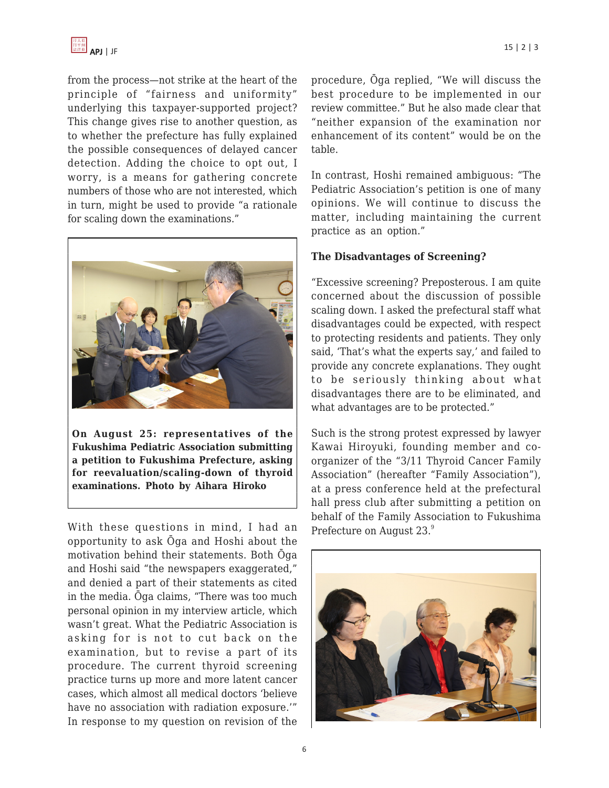

from the process—not strike at the heart of the principle of "fairness and uniformity" underlying this taxpayer-supported project? This change gives rise to another question, as to whether the prefecture has fully explained the possible consequences of delayed cancer detection. Adding the choice to opt out, I worry, is a means for gathering concrete numbers of those who are not interested, which in turn, might be used to provide "a rationale for scaling down the examinations."



**On August 25: representatives of the Fukushima Pediatric Association submitting a petition to Fukushima Prefecture, asking for reevaluation/scaling-down of thyroid examinations. Photo by Aihara Hiroko**

With these questions in mind, I had an opportunity to ask Ōga and Hoshi about the motivation behind their statements. Both Ōga and Hoshi said "the newspapers exaggerated," and denied a part of their statements as cited in the media. Ōga claims, "There was too much personal opinion in my interview article, which wasn't great. What the Pediatric Association is asking for is not to cut back on the examination, but to revise a part of its procedure. The current thyroid screening practice turns up more and more latent cancer cases, which almost all medical doctors 'believe have no association with radiation exposure.'" In response to my question on revision of the procedure, Ōga replied, "We will discuss the best procedure to be implemented in our review committee." But he also made clear that "neither expansion of the examination nor enhancement of its content" would be on the table.

In contrast, Hoshi remained ambiguous: "The Pediatric Association's petition is one of many opinions. We will continue to discuss the matter, including maintaining the current practice as an option."

### **The Disadvantages of Screening?**

"Excessive screening? Preposterous. I am quite concerned about the discussion of possible scaling down. I asked the prefectural staff what disadvantages could be expected, with respect to protecting residents and patients. They only said, 'That's what the experts say,' and failed to provide any concrete explanations. They ought to be seriously thinking about what disadvantages there are to be eliminated, and what advantages are to be protected."

Such is the strong protest expressed by lawyer Kawai Hiroyuki, founding member and coorganizer of the "3/11 Thyroid Cancer Family Association" (hereafter "Family Association"), at a press conference held at the prefectural hall press club after submitting a petition on behalf of the Family Association to Fukushima Prefecture on August 23.<sup>9</sup>

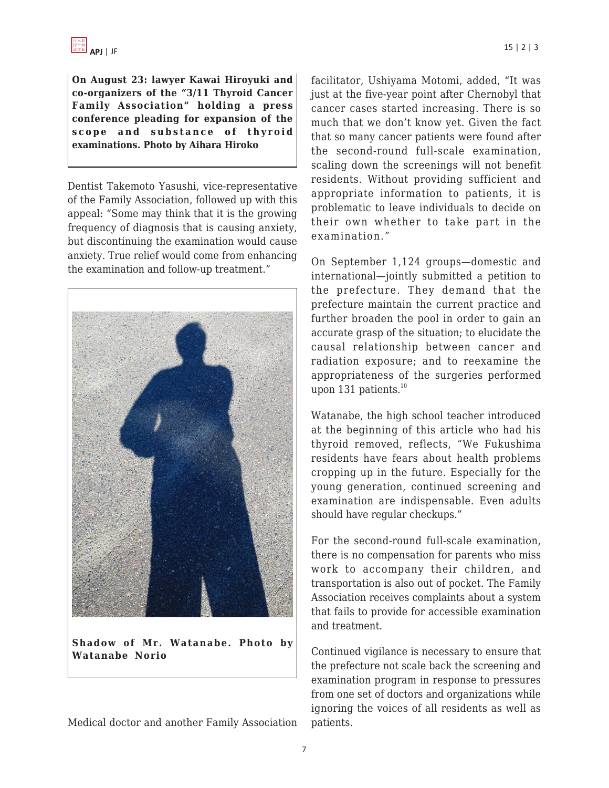

**On August 23: lawyer Kawai Hiroyuki and co-organizers of the "3/11 Thyroid Cancer Family Association" holding a press conference pleading for expansion of the scope and substance of thyroid examinations. Photo by Aihara Hiroko**

Dentist Takemoto Yasushi, vice-representative of the Family Association, followed up with this appeal: "Some may think that it is the growing frequency of diagnosis that is causing anxiety, but discontinuing the examination would cause anxiety. True relief would come from enhancing the examination and follow-up treatment."



**Shadow of Mr. Watanabe. Photo by Watanabe Norio**

Medical doctor and another Family Association

facilitator, Ushiyama Motomi, added, "It was just at the five-year point after Chernobyl that cancer cases started increasing. There is so much that we don't know yet. Given the fact that so many cancer patients were found after the second-round full-scale examination, scaling down the screenings will not benefit residents. Without providing sufficient and appropriate information to patients, it is problematic to leave individuals to decide on their own whether to take part in the examination."

On September 1,124 groups—domestic and international—jointly submitted a petition to the prefecture. They demand that the prefecture maintain the current practice and further broaden the pool in order to gain an accurate grasp of the situation; to elucidate the causal relationship between cancer and radiation exposure; and to reexamine the appropriateness of the surgeries performed upon 131 patients.<sup>10</sup>

Watanabe, the high school teacher introduced at the beginning of this article who had his thyroid removed, reflects, "We Fukushima residents have fears about health problems cropping up in the future. Especially for the young generation, continued screening and examination are indispensable. Even adults should have regular checkups."

For the second-round full-scale examination, there is no compensation for parents who miss work to accompany their children, and transportation is also out of pocket. The Family Association receives complaints about a system that fails to provide for accessible examination and treatment.

Continued vigilance is necessary to ensure that the prefecture not scale back the screening and examination program in response to pressures from one set of doctors and organizations while ignoring the voices of all residents as well as patients.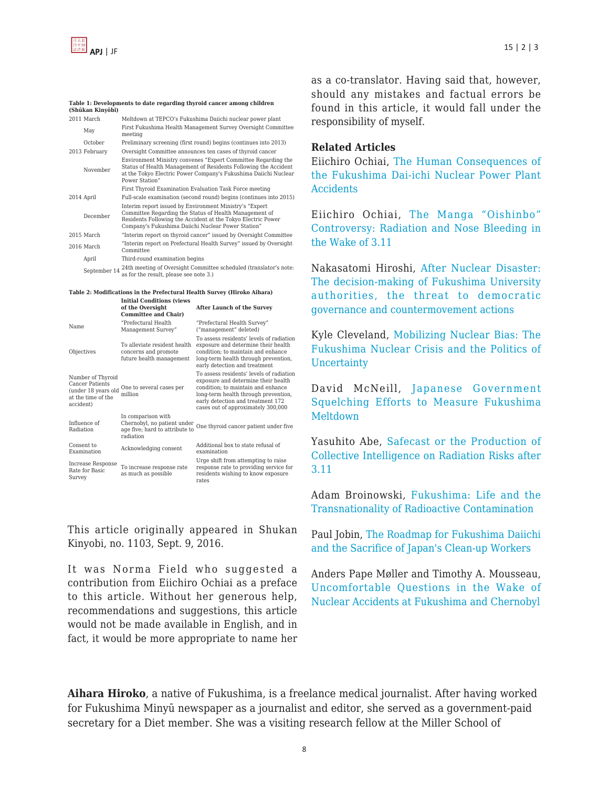

#### **Table 1: Developments to date regarding thyroid cancer among children (Shūkan Kinyōbi)**

| 2011 March    | Meltdown at TEPCO's Fukushima Daiichi nuclear power plant                                                                                                                                                                                |  |
|---------------|------------------------------------------------------------------------------------------------------------------------------------------------------------------------------------------------------------------------------------------|--|
| May           | First Fukushima Health Management Survey Oversight Committee<br>meeting                                                                                                                                                                  |  |
| October       | Preliminary screening (first round) begins (continues into 2013)                                                                                                                                                                         |  |
| 2013 February | Oversight Committee announces ten cases of thyroid cancer                                                                                                                                                                                |  |
| November      | Environment Ministry convenes "Expert Committee Regarding the<br>Status of Health Management of Residents Following the Accident<br>at the Tokyo Electric Power Company's Fukushima Daiichi Nuclear<br>Power Station"                    |  |
|               | First Thyroid Examination Evaluation Task Force meeting                                                                                                                                                                                  |  |
| 2014 April    | Full-scale examination (second round) begins (continues into 2015)                                                                                                                                                                       |  |
| December      | Interim report issued by Environment Ministry's "Expert"<br>Committee Regarding the Status of Health Management of<br>Residents Following the Accident at the Tokyo Electric Power<br>Company's Fukushima Daiichi Nuclear Power Station" |  |
| $2015$ March  | "Interim report on thyroid cancer" issued by Oversight Committee                                                                                                                                                                         |  |
| 2016 March    | "Interim report on Prefectural Health Survey" issued by Oversight<br>Committee                                                                                                                                                           |  |
| April         | Third-round examination begins                                                                                                                                                                                                           |  |
|               | 24th meeting of Oversight Committee scheduled (translator's note-                                                                                                                                                                        |  |

September 14 24th meeting of Oversight Committee scheduled (translator's note: as for the result, please see note 3.)

#### **Table 2: Modifications in the Prefectural Health Survey (Hiroko Aihara) Initial Conditions (views**

|                                                                                                       | of the Oversight<br><b>Committee and Chair)</b>                                                  | <b>After Launch of the Survey</b>                                                                                                                                                                                                        |
|-------------------------------------------------------------------------------------------------------|--------------------------------------------------------------------------------------------------|------------------------------------------------------------------------------------------------------------------------------------------------------------------------------------------------------------------------------------------|
| Name                                                                                                  | "Prefectural Health<br>Management Survey"                                                        | "Prefectural Health Survey"<br>("management" deleted)                                                                                                                                                                                    |
| Objectives                                                                                            | To alleviate resident health<br>concerns and promote<br>future health management                 | To assess residents' levels of radiation<br>exposure and determine their health<br>condition: to maintain and enhance<br>long-term health through prevention,<br>early detection and treatment                                           |
| Number of Thyroid<br><b>Cancer Patients</b><br>(under 18 years old<br>at the time of the<br>accident) | One to several cases per<br>million                                                              | To assess residents' levels of radiation<br>exposure and determine their health<br>condition: to maintain and enhance<br>long-term health through prevention,<br>early detection and treatment 172<br>cases out of approximately 300,000 |
| Influence of<br>Radiation                                                                             | In comparison with<br>Chernobyl, no patient under<br>age five; hard to attribute to<br>radiation | One thyroid cancer patient under five                                                                                                                                                                                                    |
| Consent to<br>Examination                                                                             | Acknowledging consent                                                                            | Additional box to state refusal of<br>examination                                                                                                                                                                                        |
| Increase Response<br>Rate for Basic<br>Survey                                                         | To increase response rate<br>as much as possible                                                 | Urge shift from attempting to raise<br>response rate to providing service for<br>residents wishing to know exposure<br>rates                                                                                                             |

This article originally appeared in Shukan Kinyobi, no. 1103, Sept. 9, 2016.

It was Norma Field who suggested a contribution from Eiichiro Ochiai as a preface to this article. Without her generous help, recommendations and suggestions, this article would not be made available in English, and in fact, it would be more appropriate to name her as a co-translator. Having said that, however, should any mistakes and factual errors be found in this article, it would fall under the responsibility of myself.

#### **Related Articles**

Eiichiro Ochiai, [The Human Consequences of](https://apjjf.org/-Eiichiro-Ochiai/438) [the Fukushima Dai-ichi Nuclear Power Plant](https://apjjf.org/-Eiichiro-Ochiai/438) **[Accidents](https://apjjf.org/-Eiichiro-Ochiai/438)** 

Eiichiro Ochiai, [The Manga "Oishinbo"](https://apjjf.org/-Eiichiro-Ochiai/4138/article.html) [Controversy: Radiation and Nose Bleeding in](https://apjjf.org/-Eiichiro-Ochiai/4138/article.html) [the Wake of 3.11](https://apjjf.org/-Eiichiro-Ochiai/4138/article.html)

Nakasatomi Hiroshi, [After Nuclear Disaster:](https://apjjf.org/-Nakasatomi-Hiroshi/4136) [The decision-making of Fukushima University](https://apjjf.org/-Nakasatomi-Hiroshi/4136) [authorities, the threat to democratic](https://apjjf.org/-Nakasatomi-Hiroshi/4136) [governance and countermovement actions](https://apjjf.org/-Nakasatomi-Hiroshi/4136)

Kyle Cleveland, [Mobilizing Nuclear Bias: The](https://apjjf.org/-Kyle-Cleveland/4116) [Fukushima Nuclear Crisis and the Politics of](https://apjjf.org/-Kyle-Cleveland/4116) [Uncertainty](https://apjjf.org/-Kyle-Cleveland/4116)

David McNeill, [Japanese Government](https://apjjf.org/-David-McNeill/4094) [Squelching Efforts to Measure Fukushima](https://apjjf.org/-David-McNeill/4094) [Meltdown](https://apjjf.org/-David-McNeill/4094)

Yasuhito Abe, [Safecast or the Production of](https://apjjf.org/-Yasuhito-_Abe_/4077/article.html) [Collective Intelligence on Radiation Risks after](https://apjjf.org/-Yasuhito-_Abe_/4077/article.html) [3.11](https://apjjf.org/-Yasuhito-_Abe_/4077/article.html)

Adam Broinowski, [Fukushima: Life and the](https://apjjf.org/-Adam-Broinowski/4009) [Transnationality of Radioactive Contamination](https://apjjf.org/-Adam-Broinowski/4009)

Paul Jobin, [The Roadmap for Fukushima Daiichi](https://apjjf.org/-Paul-Jobin/3967) [and the Sacrifice of Japan's Clean-up Workers](https://apjjf.org/-Paul-Jobin/3967)

Anders Pape Møller and Timothy A. Mousseau, [Uncomfortable Questions in the Wake of](https://apjjf.org/-Timothy-A__Mousseau/3921) [Nuclear Accidents at Fukushima and Chernobyl](https://apjjf.org/-Timothy-A__Mousseau/3921)

**Aihara Hiroko**, a native of Fukushima, is a freelance medical journalist. After having worked for Fukushima Minyū newspaper as a journalist and editor, she served as a government-paid secretary for a Diet member. She was a visiting research fellow at the Miller School of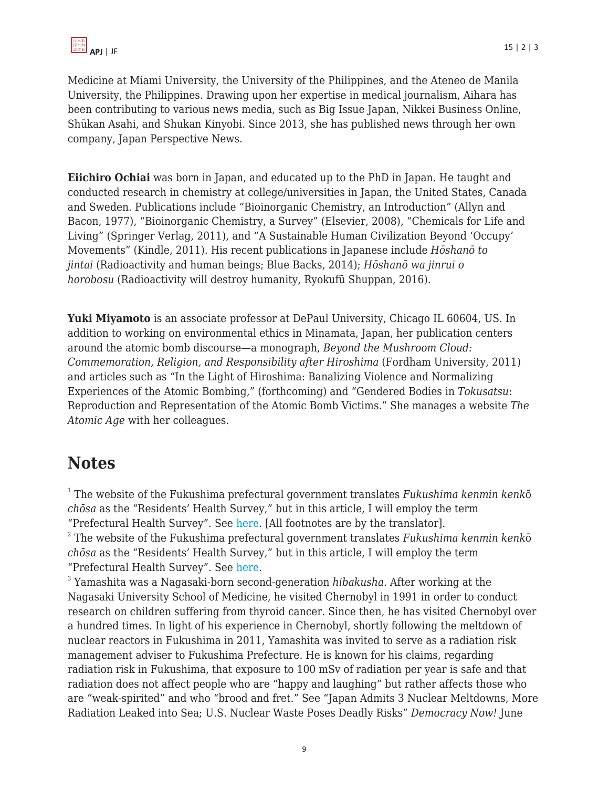Medicine at Miami University, the University of the Philippines, and the Ateneo de Manila University, the Philippines. Drawing upon her expertise in medical journalism, Aihara has been contributing to various news media, such as Big Issue Japan, Nikkei Business Online, Shūkan Asahi, and Shukan Kinyobi. Since 2013, she has published news through her own company, Japan Perspective News.

**Eiichiro Ochiai** was born in Japan, and educated up to the PhD in Japan. He taught and conducted research in chemistry at college/universities in Japan, the United States, Canada and Sweden. Publications include "Bioinorganic Chemistry, an Introduction" (Allyn and Bacon, 1977), "Bioinorganic Chemistry, a Survey" (Elsevier, 2008), "Chemicals for Life and Living" (Springer Verlag, 2011), and "A Sustainable Human Civilization Beyond 'Occupy' Movements" (Kindle, 2011). His recent publications in Japanese include *Hōshanō to jintai* (Radioactivity and human beings; Blue Backs, 2014); *Hōshanō wa jinrui o horobosu* (Radioactivity will destroy humanity*,* Ryokufū Shuppan, 2016).

**Yuki Miyamoto** is an associate professor at DePaul University, Chicago IL 60604, US. In addition to working on environmental ethics in Minamata, Japan, her publication centers around the atomic bomb discourse—a monograph, *Beyond the Mushroom Cloud: Commemoration, Religion, and Responsibility after Hiroshima* (Fordham University, 2011) and articles such as "In the Light of Hiroshima: Banalizing Violence and Normalizing Experiences of the Atomic Bombing," (forthcoming) and "Gendered Bodies in *Tokusatsu*: Reproduction and Representation of the Atomic Bomb Victims." She manages a website *The Atomic Age* with her colleagues.

# **Notes**

1 The website of the Fukushima prefectural government translates *Fukushima kenmin kenk*ō *chōsa* as the "Residents' Health Survey," but in this article, I will employ the term "Prefectural Health Survey". See [here](http://www.pref.fukushima.lg.jp/site/portal-english/en03-03.html). [All footnotes are by the translator]. 2 The website of the Fukushima prefectural government translates *Fukushima kenmin kenk*ō *chōsa* as the "Residents' Health Survey," but in this article, I will employ the term "Prefectural Health Survey". See [here](http://www.pref.fukushima.lg.jp/site/portal-english/en03-03.html).

3 Yamashita was a Nagasaki-born second-generation *hibakusha*. After working at the Nagasaki University School of Medicine, he visited Chernobyl in 1991 in order to conduct research on children suffering from thyroid cancer. Since then, he has visited Chernobyl over a hundred times. In light of his experience in Chernobyl, shortly following the meltdown of nuclear reactors in Fukushima in 2011, Yamashita was invited to serve as a radiation risk management adviser to Fukushima Prefecture. He is known for his claims, regarding radiation risk in Fukushima, that exposure to 100 mSv of radiation per year is safe and that radiation does not affect people who are "happy and laughing" but rather affects those who are "weak-spirited" and who "brood and fret." See "Japan Admits 3 Nuclear Meltdowns, More Radiation Leaked into Sea; U.S. Nuclear Waste Poses Deadly Risks" *Democracy Now!* June